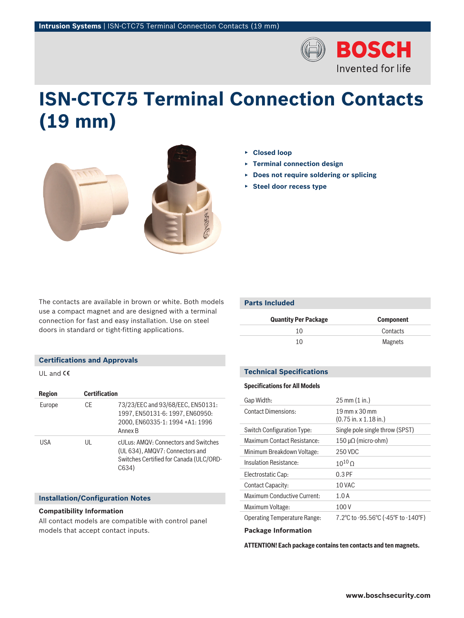

# **ISN‑CTC75 Terminal Connection Contacts (19 mm)**



- ▶ **Closed loop**
- ▶ **Terminal connection design**
- ▶ **Does not require soldering or splicing**
- ▶ **Steel door recess type**

The contacts are available in brown or white. Both models use a compact magnet and are designed with a terminal connection for fast and easy installation. Use on steel doors in standard or tight-fitting applications.

| Parts Included   |  |  |  |
|------------------|--|--|--|
| <b>Component</b> |  |  |  |
| Contacts         |  |  |  |
| <b>Magnets</b>   |  |  |  |
|                  |  |  |  |

# **Technical Specifications**

# **Specifications for All Models**

| Gap Width:                          | $25 \text{ mm} (1 \text{ in.})$                               |
|-------------------------------------|---------------------------------------------------------------|
| <b>Contact Dimensions:</b>          | 19 mm x 30 mm<br>$(0.75 \text{ in.} \times 1.18 \text{ in.})$ |
| Switch Configuration Type:          | Single pole single throw (SPST)                               |
| Maximum Contact Resistance:         | 150 μΩ (micro-ohm)                                            |
| Minimum Breakdown Voltage:          | 250 VDC                                                       |
| Insulation Resistance:              | $10^{10}$ $\Omega$                                            |
| Electrostatic Cap:                  | $0.3$ PF                                                      |
| Contact Capacity:                   | 10 VAC                                                        |
| Maximum Conductive Current:         | 1.0A                                                          |
| Maximum Voltage:                    | 100V                                                          |
| <b>Operating Temperature Range:</b> | 7.2°C to -95.56°C (-45°F to -140°F)                           |
| .                                   |                                                               |

### **Package Information**

**ATTENTION! Each package contains ten contacts and ten magnets.**

# **Certifications and Approvals**

UL and  $C\epsilon$ 

| Region | <b>Certification</b> |                                                                                                                             |
|--------|----------------------|-----------------------------------------------------------------------------------------------------------------------------|
| Europe | CE                   | 73/23/EEC and 93/68/EEC, EN50131:<br>1997, EN50131-6: 1997, EN60950:<br>2000. EN60335-1: 1994 +A1: 1996<br>Annex B          |
| USA    | UL                   | cULus: AMQV: Connectors and Switches<br>(UL 634), AMQV7: Connectors and<br>Switches Certified for Canada (ULC/ORD-<br>C634) |

## **Installation/Configuration Notes**

### **Compatibility Information**

All contact models are compatible with control panel models that accept contact inputs.